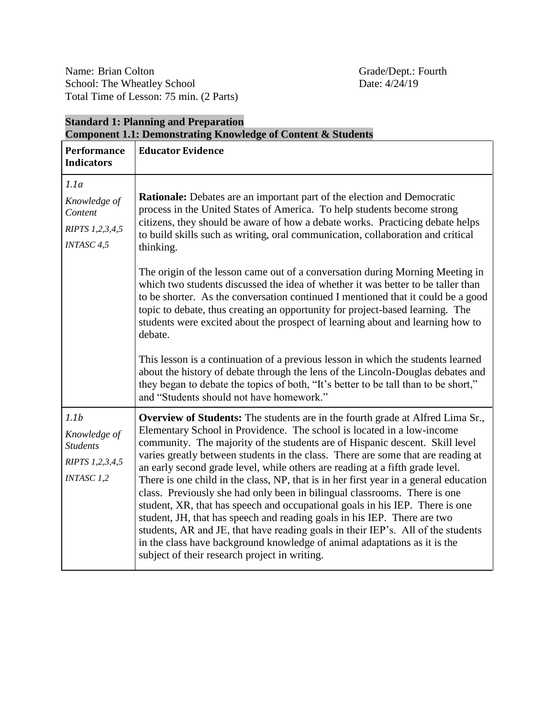**Standard 1: Planning and Preparation**

| <b>Component 1.1: Demonstrating Knowledge of Content &amp; Students</b>                     |                                                                                                                                                                                                                                                                                                                                                                                                                                                                                                                                                                                                                                                                                                                                                                                                                                                                                                                                                                          |  |
|---------------------------------------------------------------------------------------------|--------------------------------------------------------------------------------------------------------------------------------------------------------------------------------------------------------------------------------------------------------------------------------------------------------------------------------------------------------------------------------------------------------------------------------------------------------------------------------------------------------------------------------------------------------------------------------------------------------------------------------------------------------------------------------------------------------------------------------------------------------------------------------------------------------------------------------------------------------------------------------------------------------------------------------------------------------------------------|--|
| <b>Performance</b><br><b>Indicators</b>                                                     | <b>Educator Evidence</b>                                                                                                                                                                                                                                                                                                                                                                                                                                                                                                                                                                                                                                                                                                                                                                                                                                                                                                                                                 |  |
| 1.1a<br>Knowledge of<br>Content<br>RIPTS 1,2,3,4,5<br>INTASC <sub>4,5</sub>                 | <b>Rationale:</b> Debates are an important part of the election and Democratic<br>process in the United States of America. To help students become strong<br>citizens, they should be aware of how a debate works. Practicing debate helps<br>to build skills such as writing, oral communication, collaboration and critical<br>thinking.<br>The origin of the lesson came out of a conversation during Morning Meeting in<br>which two students discussed the idea of whether it was better to be taller than<br>to be shorter. As the conversation continued I mentioned that it could be a good<br>topic to debate, thus creating an opportunity for project-based learning. The<br>students were excited about the prospect of learning about and learning how to<br>debate.                                                                                                                                                                                        |  |
|                                                                                             | This lesson is a continuation of a previous lesson in which the students learned<br>about the history of debate through the lens of the Lincoln-Douglas debates and<br>they began to debate the topics of both, "It's better to be tall than to be short,"<br>and "Students should not have homework."                                                                                                                                                                                                                                                                                                                                                                                                                                                                                                                                                                                                                                                                   |  |
| 1.1 <sub>b</sub><br>Knowledge of<br><b>Students</b><br>RIPTS 1,2,3,4,5<br><b>INTASC 1,2</b> | <b>Overview of Students:</b> The students are in the fourth grade at Alfred Lima Sr.,<br>Elementary School in Providence. The school is located in a low-income<br>community. The majority of the students are of Hispanic descent. Skill level<br>varies greatly between students in the class. There are some that are reading at<br>an early second grade level, while others are reading at a fifth grade level.<br>There is one child in the class, NP, that is in her first year in a general education<br>class. Previously she had only been in bilingual classrooms. There is one<br>student, XR, that has speech and occupational goals in his IEP. There is one<br>student, JH, that has speech and reading goals in his IEP. There are two<br>students, AR and JE, that have reading goals in their IEP's. All of the students<br>in the class have background knowledge of animal adaptations as it is the<br>subject of their research project in writing. |  |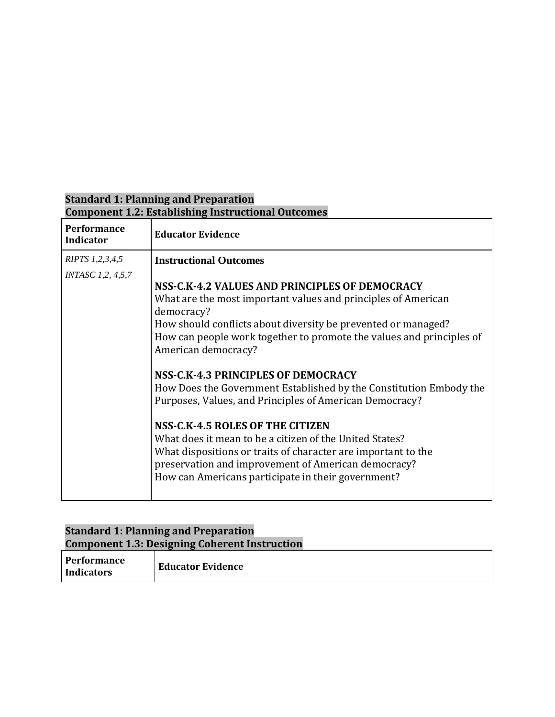# **Standard 1: Planning and Preparation Component 1.2: Establishing Instructional Outcomes**

| <b>Performance</b><br><b>Indicator</b> | <b>Educator Evidence</b>                                                                                                                                                                                                                                                                                                                                                                                                                                                                                                                                                                                                                                                                                                                           |
|----------------------------------------|----------------------------------------------------------------------------------------------------------------------------------------------------------------------------------------------------------------------------------------------------------------------------------------------------------------------------------------------------------------------------------------------------------------------------------------------------------------------------------------------------------------------------------------------------------------------------------------------------------------------------------------------------------------------------------------------------------------------------------------------------|
| RIPTS 1,2,3,4,5                        | <b>Instructional Outcomes</b>                                                                                                                                                                                                                                                                                                                                                                                                                                                                                                                                                                                                                                                                                                                      |
| <i>INTASC 1,2, 4,5,7</i>               | NSS-C.K-4.2 VALUES AND PRINCIPLES OF DEMOCRACY<br>What are the most important values and principles of American<br>democracy?<br>How should conflicts about diversity be prevented or managed?<br>How can people work together to promote the values and principles of<br>American democracy?<br>NSS-C.K-4.3 PRINCIPLES OF DEMOCRACY<br>How Does the Government Established by the Constitution Embody the<br>Purposes, Values, and Principles of American Democracy?<br>NSS-C.K-4.5 ROLES OF THE CITIZEN<br>What does it mean to be a citizen of the United States?<br>What dispositions or traits of character are important to the<br>preservation and improvement of American democracy?<br>How can Americans participate in their government? |

### **Standard 1: Planning and Preparation Component 1.3: Designing Coherent Instruction**

| <b>Performance</b><br>Indicators | <b>Educator Evidence</b> |  |  |
|----------------------------------|--------------------------|--|--|
|----------------------------------|--------------------------|--|--|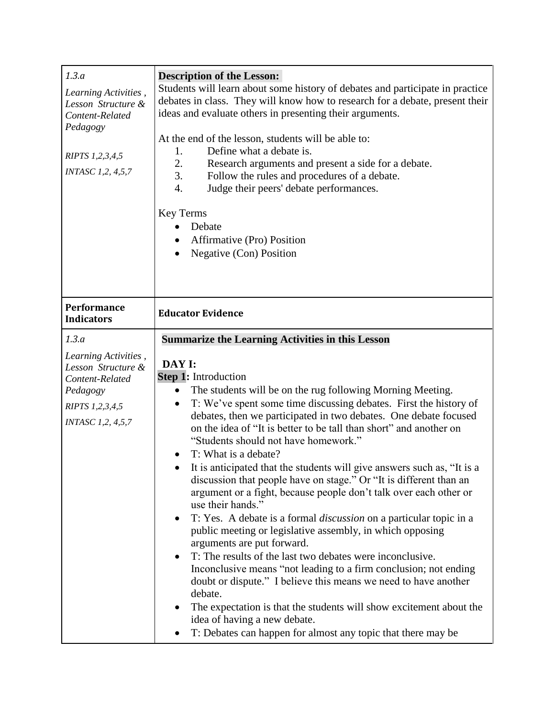| 1.3.a<br>Learning Activities,<br>Lesson Structure &<br>Content-Related<br>Pedagogy<br>RIPTS 1,2,3,4,5<br><b>INTASC 1,2, 4,5,7</b> | <b>Description of the Lesson:</b><br>Students will learn about some history of debates and participate in practice<br>debates in class. They will know how to research for a debate, present their<br>ideas and evaluate others in presenting their arguments.<br>At the end of the lesson, students will be able to:<br>Define what a debate is.<br>1.<br>2.<br>Research arguments and present a side for a debate.<br>3.<br>Follow the rules and procedures of a debate.<br>Judge their peers' debate performances.<br>4.<br><b>Key Terms</b><br>Debate<br>$\bullet$<br>Affirmative (Pro) Position<br>Negative (Con) Position<br>$\bullet$                                                                                                                                                                                                                                                                                                                                                                                                                                                                                                                                                                   |
|-----------------------------------------------------------------------------------------------------------------------------------|----------------------------------------------------------------------------------------------------------------------------------------------------------------------------------------------------------------------------------------------------------------------------------------------------------------------------------------------------------------------------------------------------------------------------------------------------------------------------------------------------------------------------------------------------------------------------------------------------------------------------------------------------------------------------------------------------------------------------------------------------------------------------------------------------------------------------------------------------------------------------------------------------------------------------------------------------------------------------------------------------------------------------------------------------------------------------------------------------------------------------------------------------------------------------------------------------------------|
| Performance<br><b>Indicators</b>                                                                                                  | <b>Educator Evidence</b>                                                                                                                                                                                                                                                                                                                                                                                                                                                                                                                                                                                                                                                                                                                                                                                                                                                                                                                                                                                                                                                                                                                                                                                       |
| 1.3.a<br>Learning Activities,                                                                                                     | <b>Summarize the Learning Activities in this Lesson</b>                                                                                                                                                                                                                                                                                                                                                                                                                                                                                                                                                                                                                                                                                                                                                                                                                                                                                                                                                                                                                                                                                                                                                        |
| Lesson Structure &<br>Content-Related<br>Pedagogy<br>RIPTS 1,2,3,4,5<br><b>INTASC 1,2, 4,5,7</b>                                  | DAY I:<br>Step 1: Introduction<br>The students will be on the rug following Morning Meeting.<br>$\bullet$<br>T: We've spent some time discussing debates. First the history of<br>$\bullet$<br>debates, then we participated in two debates. One debate focused<br>on the idea of "It is better to be tall than short" and another on<br>"Students should not have homework."<br>T: What is a debate?<br>It is anticipated that the students will give answers such as, "It is a<br>discussion that people have on stage." Or "It is different than an<br>argument or a fight, because people don't talk over each other or<br>use their hands."<br>T: Yes. A debate is a formal <i>discussion</i> on a particular topic in a<br>public meeting or legislative assembly, in which opposing<br>arguments are put forward.<br>T: The results of the last two debates were inconclusive.<br>Inconclusive means "not leading to a firm conclusion; not ending<br>doubt or dispute." I believe this means we need to have another<br>debate.<br>The expectation is that the students will show excitement about the<br>idea of having a new debate.<br>T: Debates can happen for almost any topic that there may be |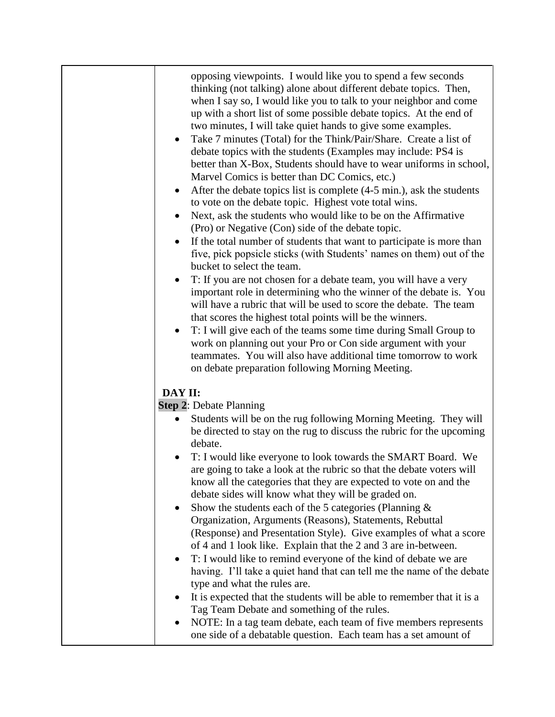| opposing viewpoints. I would like you to spend a few seconds<br>thinking (not talking) alone about different debate topics. Then,<br>when I say so, I would like you to talk to your neighbor and come<br>up with a short list of some possible debate topics. At the end of<br>two minutes, I will take quiet hands to give some examples.<br>Take 7 minutes (Total) for the Think/Pair/Share. Create a list of<br>debate topics with the students (Examples may include: PS4 is<br>better than X-Box, Students should have to wear uniforms in school,<br>Marvel Comics is better than DC Comics, etc.)<br>After the debate topics list is complete (4-5 min.), ask the students<br>$\bullet$<br>to vote on the debate topic. Highest vote total wins.<br>Next, ask the students who would like to be on the Affirmative<br>(Pro) or Negative (Con) side of the debate topic.<br>If the total number of students that want to participate is more than<br>five, pick popsicle sticks (with Students' names on them) out of the<br>bucket to select the team.<br>T: If you are not chosen for a debate team, you will have a very<br>important role in determining who the winner of the debate is. You<br>will have a rubric that will be used to score the debate. The team<br>that scores the highest total points will be the winners.<br>T: I will give each of the teams some time during Small Group to<br>work on planning out your Pro or Con side argument with your<br>teammates. You will also have additional time tomorrow to work<br>on debate preparation following Morning Meeting. |
|-------------------------------------------------------------------------------------------------------------------------------------------------------------------------------------------------------------------------------------------------------------------------------------------------------------------------------------------------------------------------------------------------------------------------------------------------------------------------------------------------------------------------------------------------------------------------------------------------------------------------------------------------------------------------------------------------------------------------------------------------------------------------------------------------------------------------------------------------------------------------------------------------------------------------------------------------------------------------------------------------------------------------------------------------------------------------------------------------------------------------------------------------------------------------------------------------------------------------------------------------------------------------------------------------------------------------------------------------------------------------------------------------------------------------------------------------------------------------------------------------------------------------------------------------------------------------------------------------------|
|                                                                                                                                                                                                                                                                                                                                                                                                                                                                                                                                                                                                                                                                                                                                                                                                                                                                                                                                                                                                                                                                                                                                                                                                                                                                                                                                                                                                                                                                                                                                                                                                       |
| DAY II:                                                                                                                                                                                                                                                                                                                                                                                                                                                                                                                                                                                                                                                                                                                                                                                                                                                                                                                                                                                                                                                                                                                                                                                                                                                                                                                                                                                                                                                                                                                                                                                               |
| <b>Step 2: Debate Planning</b>                                                                                                                                                                                                                                                                                                                                                                                                                                                                                                                                                                                                                                                                                                                                                                                                                                                                                                                                                                                                                                                                                                                                                                                                                                                                                                                                                                                                                                                                                                                                                                        |
| Students will be on the rug following Morning Meeting. They will<br>٠<br>be directed to stay on the rug to discuss the rubric for the upcoming<br>debate.<br>T: I would like everyone to look towards the SMART Board. We<br>are going to take a look at the rubric so that the debate voters will<br>know all the categories that they are expected to vote on and the<br>debate sides will know what they will be graded on.<br>Show the students each of the 5 categories (Planning $\&$<br>Organization, Arguments (Reasons), Statements, Rebuttal<br>(Response) and Presentation Style). Give examples of what a score<br>of 4 and 1 look like. Explain that the 2 and 3 are in-between.<br>T: I would like to remind everyone of the kind of debate we are<br>having. I'll take a quiet hand that can tell me the name of the debate<br>type and what the rules are.                                                                                                                                                                                                                                                                                                                                                                                                                                                                                                                                                                                                                                                                                                                            |
| It is expected that the students will be able to remember that it is a                                                                                                                                                                                                                                                                                                                                                                                                                                                                                                                                                                                                                                                                                                                                                                                                                                                                                                                                                                                                                                                                                                                                                                                                                                                                                                                                                                                                                                                                                                                                |
| Tag Team Debate and something of the rules.                                                                                                                                                                                                                                                                                                                                                                                                                                                                                                                                                                                                                                                                                                                                                                                                                                                                                                                                                                                                                                                                                                                                                                                                                                                                                                                                                                                                                                                                                                                                                           |
| NOTE: In a tag team debate, each team of five members represents                                                                                                                                                                                                                                                                                                                                                                                                                                                                                                                                                                                                                                                                                                                                                                                                                                                                                                                                                                                                                                                                                                                                                                                                                                                                                                                                                                                                                                                                                                                                      |
| one side of a debatable question. Each team has a set amount of                                                                                                                                                                                                                                                                                                                                                                                                                                                                                                                                                                                                                                                                                                                                                                                                                                                                                                                                                                                                                                                                                                                                                                                                                                                                                                                                                                                                                                                                                                                                       |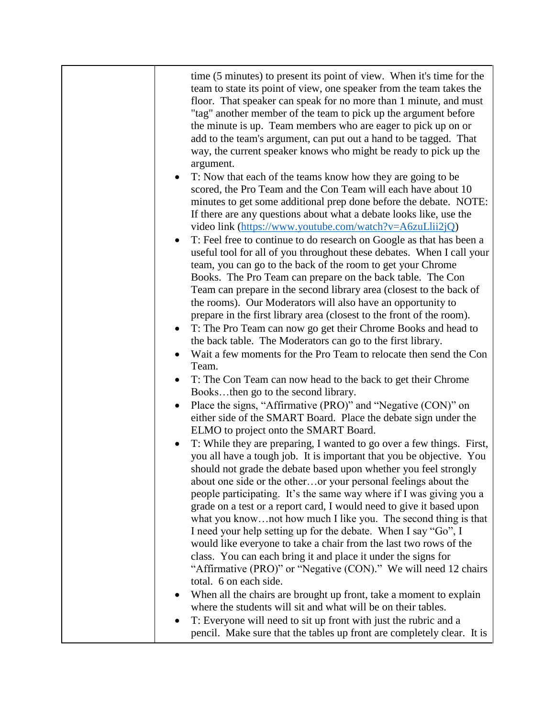| time (5 minutes) to present its point of view. When it's time for the<br>team to state its point of view, one speaker from the team takes the<br>floor. That speaker can speak for no more than 1 minute, and must<br>"tag" another member of the team to pick up the argument before<br>the minute is up. Team members who are eager to pick up on or<br>add to the team's argument, can put out a hand to be tagged. That<br>way, the current speaker knows who might be ready to pick up the<br>argument.<br>T: Now that each of the teams know how they are going to be<br>$\bullet$<br>scored, the Pro Team and the Con Team will each have about 10<br>minutes to get some additional prep done before the debate. NOTE:<br>If there are any questions about what a debate looks like, use the<br>video link (https://www.youtube.com/watch?v=A6zuLlii2jQ)<br>T: Feel free to continue to do research on Google as that has been a<br>$\bullet$<br>useful tool for all of you throughout these debates. When I call your<br>team, you can go to the back of the room to get your Chrome<br>Books. The Pro Team can prepare on the back table. The Con<br>Team can prepare in the second library area (closest to the back of<br>the rooms). Our Moderators will also have an opportunity to<br>prepare in the first library area (closest to the front of the room).<br>T: The Pro Team can now go get their Chrome Books and head to<br>the back table. The Moderators can go to the first library.<br>Wait a few moments for the Pro Team to relocate then send the Con<br>Team.<br>T: The Con Team can now head to the back to get their Chrome<br>Booksthen go to the second library.<br>Place the signs, "Affirmative (PRO)" and "Negative (CON)" on<br>either side of the SMART Board. Place the debate sign under the<br>ELMO to project onto the SMART Board.<br>T: While they are preparing, I wanted to go over a few things. First,<br>you all have a tough job. It is important that you be objective. You<br>should not grade the debate based upon whether you feel strongly<br>about one side or the otheror your personal feelings about the<br>people participating. It's the same way where if I was giving you a<br>grade on a test or a report card, I would need to give it based upon<br>what you knownot how much I like you. The second thing is that |
|-------------------------------------------------------------------------------------------------------------------------------------------------------------------------------------------------------------------------------------------------------------------------------------------------------------------------------------------------------------------------------------------------------------------------------------------------------------------------------------------------------------------------------------------------------------------------------------------------------------------------------------------------------------------------------------------------------------------------------------------------------------------------------------------------------------------------------------------------------------------------------------------------------------------------------------------------------------------------------------------------------------------------------------------------------------------------------------------------------------------------------------------------------------------------------------------------------------------------------------------------------------------------------------------------------------------------------------------------------------------------------------------------------------------------------------------------------------------------------------------------------------------------------------------------------------------------------------------------------------------------------------------------------------------------------------------------------------------------------------------------------------------------------------------------------------------------------------------------------------------------------------------------------------------------------------------------------------------------------------------------------------------------------------------------------------------------------------------------------------------------------------------------------------------------------------------------------------------------------------------------------------------------------------------------------------------------------------------------------------------------------------|
| I need your help setting up for the debate. When I say "Go", I<br>would like everyone to take a chair from the last two rows of the<br>class. You can each bring it and place it under the signs for                                                                                                                                                                                                                                                                                                                                                                                                                                                                                                                                                                                                                                                                                                                                                                                                                                                                                                                                                                                                                                                                                                                                                                                                                                                                                                                                                                                                                                                                                                                                                                                                                                                                                                                                                                                                                                                                                                                                                                                                                                                                                                                                                                                |
| "Affirmative (PRO)" or "Negative (CON)." We will need 12 chairs<br>total. 6 on each side.<br>When all the chairs are brought up front, take a moment to explain                                                                                                                                                                                                                                                                                                                                                                                                                                                                                                                                                                                                                                                                                                                                                                                                                                                                                                                                                                                                                                                                                                                                                                                                                                                                                                                                                                                                                                                                                                                                                                                                                                                                                                                                                                                                                                                                                                                                                                                                                                                                                                                                                                                                                     |
| where the students will sit and what will be on their tables.<br>T: Everyone will need to sit up front with just the rubric and a<br>pencil. Make sure that the tables up front are completely clear. It is                                                                                                                                                                                                                                                                                                                                                                                                                                                                                                                                                                                                                                                                                                                                                                                                                                                                                                                                                                                                                                                                                                                                                                                                                                                                                                                                                                                                                                                                                                                                                                                                                                                                                                                                                                                                                                                                                                                                                                                                                                                                                                                                                                         |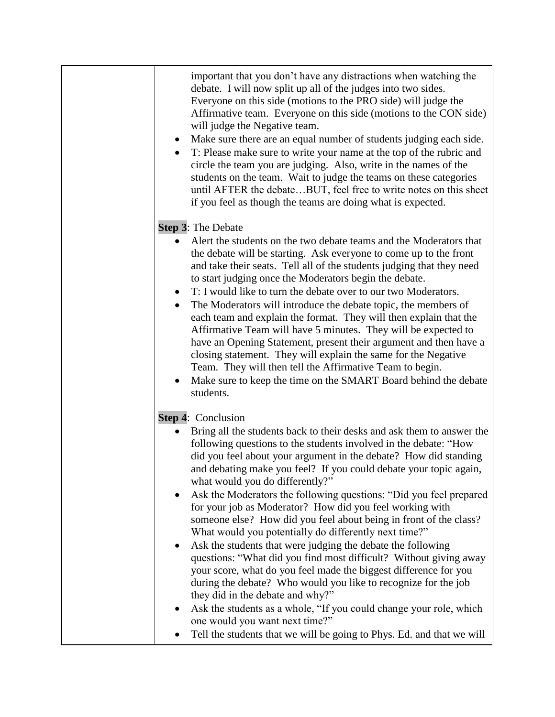| important that you don't have any distractions when watching the<br>debate. I will now split up all of the judges into two sides.<br>Everyone on this side (motions to the PRO side) will judge the<br>Affirmative team. Everyone on this side (motions to the CON side)<br>will judge the Negative team.<br>Make sure there are an equal number of students judging each side.<br>$\bullet$<br>T: Please make sure to write your name at the top of the rubric and<br>circle the team you are judging. Also, write in the names of the<br>students on the team. Wait to judge the teams on these categories<br>until AFTER the debateBUT, feel free to write notes on this sheet<br>if you feel as though the teams are doing what is expected.                                                                                                                                                                                                                                                                                                                                     |
|--------------------------------------------------------------------------------------------------------------------------------------------------------------------------------------------------------------------------------------------------------------------------------------------------------------------------------------------------------------------------------------------------------------------------------------------------------------------------------------------------------------------------------------------------------------------------------------------------------------------------------------------------------------------------------------------------------------------------------------------------------------------------------------------------------------------------------------------------------------------------------------------------------------------------------------------------------------------------------------------------------------------------------------------------------------------------------------|
|                                                                                                                                                                                                                                                                                                                                                                                                                                                                                                                                                                                                                                                                                                                                                                                                                                                                                                                                                                                                                                                                                      |
| Alert the students on the two debate teams and the Moderators that<br>the debate will be starting. Ask everyone to come up to the front<br>and take their seats. Tell all of the students judging that they need<br>to start judging once the Moderators begin the debate.<br>T: I would like to turn the debate over to our two Moderators.<br>$\bullet$<br>The Moderators will introduce the debate topic, the members of<br>each team and explain the format. They will then explain that the<br>Affirmative Team will have 5 minutes. They will be expected to<br>have an Opening Statement, present their argument and then have a<br>closing statement. They will explain the same for the Negative<br>Team. They will then tell the Affirmative Team to begin.<br>Make sure to keep the time on the SMART Board behind the debate<br>students.                                                                                                                                                                                                                                |
|                                                                                                                                                                                                                                                                                                                                                                                                                                                                                                                                                                                                                                                                                                                                                                                                                                                                                                                                                                                                                                                                                      |
| Bring all the students back to their desks and ask them to answer the<br>following questions to the students involved in the debate: "How<br>did you feel about your argument in the debate? How did standing<br>and debating make you feel? If you could debate your topic again,<br>what would you do differently?"<br>Ask the Moderators the following questions: "Did you feel prepared<br>for your job as Moderator? How did you feel working with<br>someone else? How did you feel about being in front of the class?<br>What would you potentially do differently next time?"<br>Ask the students that were judging the debate the following<br>questions: "What did you find most difficult? Without giving away<br>your score, what do you feel made the biggest difference for you<br>during the debate? Who would you like to recognize for the job<br>they did in the debate and why?"<br>Ask the students as a whole, "If you could change your role, which<br>one would you want next time?"<br>Tell the students that we will be going to Phys. Ed. and that we will |
| Step 3: The Debate<br><b>Step 4: Conclusion</b>                                                                                                                                                                                                                                                                                                                                                                                                                                                                                                                                                                                                                                                                                                                                                                                                                                                                                                                                                                                                                                      |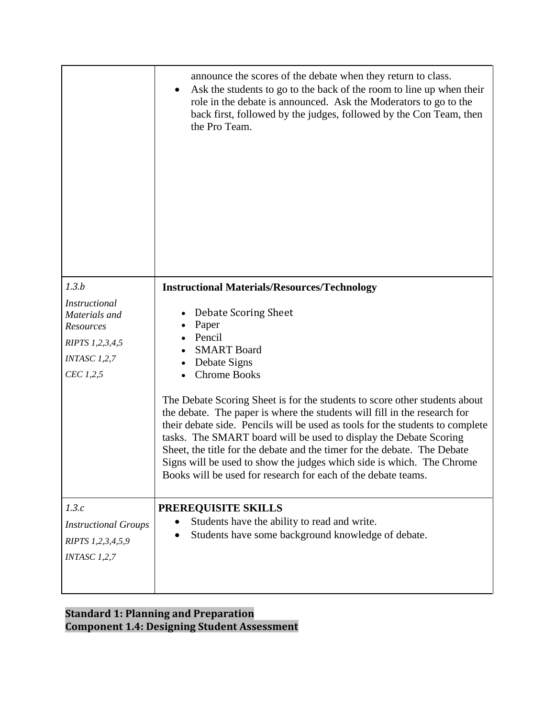|                                                                                                             | announce the scores of the debate when they return to class.<br>Ask the students to go to the back of the room to line up when their<br>role in the debate is announced. Ask the Moderators to go to the<br>back first, followed by the judges, followed by the Con Team, then<br>the Pro Team.                                                                                                                                                                                                                                                                                                                                                                                                    |
|-------------------------------------------------------------------------------------------------------------|----------------------------------------------------------------------------------------------------------------------------------------------------------------------------------------------------------------------------------------------------------------------------------------------------------------------------------------------------------------------------------------------------------------------------------------------------------------------------------------------------------------------------------------------------------------------------------------------------------------------------------------------------------------------------------------------------|
| 1.3.b<br><b>Instructional</b><br>Materials and<br>Resources<br>RIPTS 1,2,3,4,5<br>INTASC 1,2,7<br>CEC 1,2,5 | <b>Instructional Materials/Resources/Technology</b><br>Debate Scoring Sheet<br>Paper<br>Pencil<br><b>SMART Board</b><br>Debate Signs<br><b>Chrome Books</b><br>The Debate Scoring Sheet is for the students to score other students about<br>the debate. The paper is where the students will fill in the research for<br>their debate side. Pencils will be used as tools for the students to complete<br>tasks. The SMART board will be used to display the Debate Scoring<br>Sheet, the title for the debate and the timer for the debate. The Debate<br>Signs will be used to show the judges which side is which. The Chrome<br>Books will be used for research for each of the debate teams. |
| 1.3.c<br><b>Instructional Groups</b><br>RIPTS 1,2,3,4,5,9<br>INTASC 1,2,7                                   | PREREQUISITE SKILLS<br>Students have the ability to read and write.<br>Students have some background knowledge of debate.                                                                                                                                                                                                                                                                                                                                                                                                                                                                                                                                                                          |

**Standard 1: Planning and Preparation Component 1.4: Designing Student Assessment**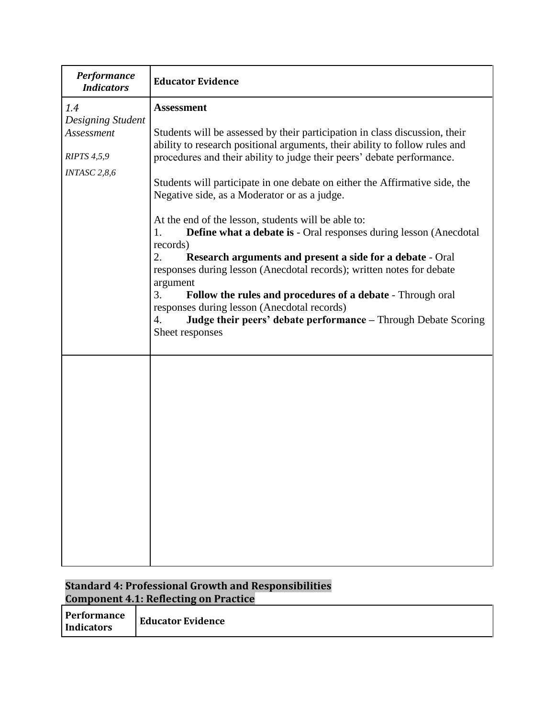| <b>Performance</b><br><b>Indicators</b>                                      | <b>Educator Evidence</b>                                                                                                                                                                                                                                                                                                                                                                                                                                                                                                                                                                                                                                                                                                                                                                                                                                                                                                    |
|------------------------------------------------------------------------------|-----------------------------------------------------------------------------------------------------------------------------------------------------------------------------------------------------------------------------------------------------------------------------------------------------------------------------------------------------------------------------------------------------------------------------------------------------------------------------------------------------------------------------------------------------------------------------------------------------------------------------------------------------------------------------------------------------------------------------------------------------------------------------------------------------------------------------------------------------------------------------------------------------------------------------|
| 1.4<br>Designing Student<br>Assessment<br><b>RIPTS 4,5,9</b><br>INTASC 2,8,6 | <b>Assessment</b><br>Students will be assessed by their participation in class discussion, their<br>ability to research positional arguments, their ability to follow rules and<br>procedures and their ability to judge their peers' debate performance.<br>Students will participate in one debate on either the Affirmative side, the<br>Negative side, as a Moderator or as a judge.<br>At the end of the lesson, students will be able to:<br><b>Define what a debate is - Oral responses during lesson (Anecdotal)</b><br>1.<br>records)<br>2.<br><b>Research arguments and present a side for a debate - Oral</b><br>responses during lesson (Anecdotal records); written notes for debate<br>argument<br>3.<br>Follow the rules and procedures of a debate - Through oral<br>responses during lesson (Anecdotal records)<br>Judge their peers' debate performance - Through Debate Scoring<br>4.<br>Sheet responses |
|                                                                              |                                                                                                                                                                                                                                                                                                                                                                                                                                                                                                                                                                                                                                                                                                                                                                                                                                                                                                                             |

### **Standard 4: Professional Growth and Responsibilities Component 4.1: Reflecting on Practice**

| <b>Performance</b><br>Indicators | <b>Educator Evidence</b> |
|----------------------------------|--------------------------|
|----------------------------------|--------------------------|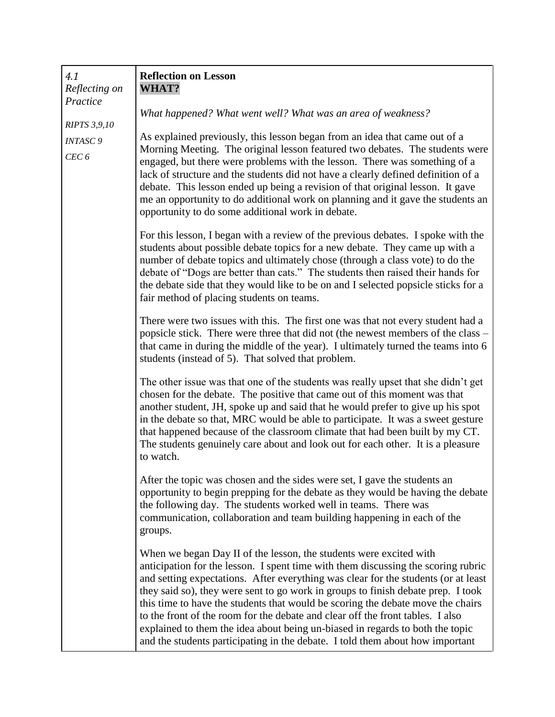| 4.1<br>Reflecting on                           | <b>Reflection on Lesson</b><br>WHAT?                                                                                                                                                                                                                                                                                                                                                                                                                                                                                                                                                                                                                                     |
|------------------------------------------------|--------------------------------------------------------------------------------------------------------------------------------------------------------------------------------------------------------------------------------------------------------------------------------------------------------------------------------------------------------------------------------------------------------------------------------------------------------------------------------------------------------------------------------------------------------------------------------------------------------------------------------------------------------------------------|
| Practice                                       | What happened? What went well? What was an area of weakness?                                                                                                                                                                                                                                                                                                                                                                                                                                                                                                                                                                                                             |
| <b>RIPTS 3,9,10</b><br><b>INTASC9</b><br>CEC 6 | As explained previously, this lesson began from an idea that came out of a<br>Morning Meeting. The original lesson featured two debates. The students were<br>engaged, but there were problems with the lesson. There was something of a<br>lack of structure and the students did not have a clearly defined definition of a<br>debate. This lesson ended up being a revision of that original lesson. It gave<br>me an opportunity to do additional work on planning and it gave the students an<br>opportunity to do some additional work in debate.                                                                                                                  |
|                                                | For this lesson, I began with a review of the previous debates. I spoke with the<br>students about possible debate topics for a new debate. They came up with a<br>number of debate topics and ultimately chose (through a class vote) to do the<br>debate of "Dogs are better than cats." The students then raised their hands for<br>the debate side that they would like to be on and I selected popsicle sticks for a<br>fair method of placing students on teams.                                                                                                                                                                                                   |
|                                                | There were two issues with this. The first one was that not every student had a<br>popsicle stick. There were three that did not (the newest members of the class –<br>that came in during the middle of the year). I ultimately turned the teams into 6<br>students (instead of 5). That solved that problem.                                                                                                                                                                                                                                                                                                                                                           |
|                                                | The other issue was that one of the students was really upset that she didn't get<br>chosen for the debate. The positive that came out of this moment was that<br>another student, JH, spoke up and said that he would prefer to give up his spot<br>in the debate so that, MRC would be able to participate. It was a sweet gesture<br>that happened because of the classroom climate that had been built by my CT.<br>The students genuinely care about and look out for each other. It is a pleasure<br>to watch.                                                                                                                                                     |
|                                                | After the topic was chosen and the sides were set, I gave the students an<br>opportunity to begin prepping for the debate as they would be having the debate<br>the following day. The students worked well in teams. There was<br>communication, collaboration and team building happening in each of the<br>groups.                                                                                                                                                                                                                                                                                                                                                    |
|                                                | When we began Day II of the lesson, the students were excited with<br>anticipation for the lesson. I spent time with them discussing the scoring rubric<br>and setting expectations. After everything was clear for the students (or at least<br>they said so), they were sent to go work in groups to finish debate prep. I took<br>this time to have the students that would be scoring the debate move the chairs<br>to the front of the room for the debate and clear off the front tables. I also<br>explained to them the idea about being un-biased in regards to both the topic<br>and the students participating in the debate. I told them about how important |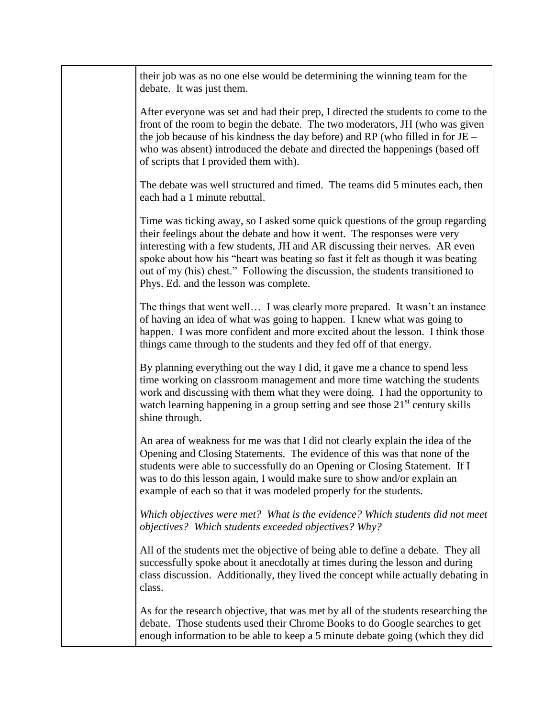| their job was as no one else would be determining the winning team for the<br>debate. It was just them.                                                                                                                                                                                                                                                                                                                                                 |
|---------------------------------------------------------------------------------------------------------------------------------------------------------------------------------------------------------------------------------------------------------------------------------------------------------------------------------------------------------------------------------------------------------------------------------------------------------|
| After everyone was set and had their prep, I directed the students to come to the<br>front of the room to begin the debate. The two moderators, JH (who was given<br>the job because of his kindness the day before) and RP (who filled in for $JE -$<br>who was absent) introduced the debate and directed the happenings (based off<br>of scripts that I provided them with).                                                                         |
| The debate was well structured and timed. The teams did 5 minutes each, then<br>each had a 1 minute rebuttal.                                                                                                                                                                                                                                                                                                                                           |
| Time was ticking away, so I asked some quick questions of the group regarding<br>their feelings about the debate and how it went. The responses were very<br>interesting with a few students, JH and AR discussing their nerves. AR even<br>spoke about how his "heart was beating so fast it felt as though it was beating<br>out of my (his) chest." Following the discussion, the students transitioned to<br>Phys. Ed. and the lesson was complete. |
| The things that went well I was clearly more prepared. It wasn't an instance<br>of having an idea of what was going to happen. I knew what was going to<br>happen. I was more confident and more excited about the lesson. I think those<br>things came through to the students and they fed off of that energy.                                                                                                                                        |
| By planning everything out the way I did, it gave me a chance to spend less<br>time working on classroom management and more time watching the students<br>work and discussing with them what they were doing. I had the opportunity to<br>watch learning happening in a group setting and see those 21 <sup>st</sup> century skills<br>shine through.                                                                                                  |
| An area of weakness for me was that I did not clearly explain the idea of the<br>Opening and Closing Statements. The evidence of this was that none of the<br>students were able to successfully do an Opening or Closing Statement. If I<br>was to do this lesson again, I would make sure to show and/or explain an<br>example of each so that it was modeled properly for the students.                                                              |
| Which objectives were met? What is the evidence? Which students did not meet<br>objectives? Which students exceeded objectives? Why?                                                                                                                                                                                                                                                                                                                    |
| All of the students met the objective of being able to define a debate. They all<br>successfully spoke about it anecdotally at times during the lesson and during<br>class discussion. Additionally, they lived the concept while actually debating in<br>class.                                                                                                                                                                                        |
| As for the research objective, that was met by all of the students researching the<br>debate. Those students used their Chrome Books to do Google searches to get<br>enough information to be able to keep a 5 minute debate going (which they did                                                                                                                                                                                                      |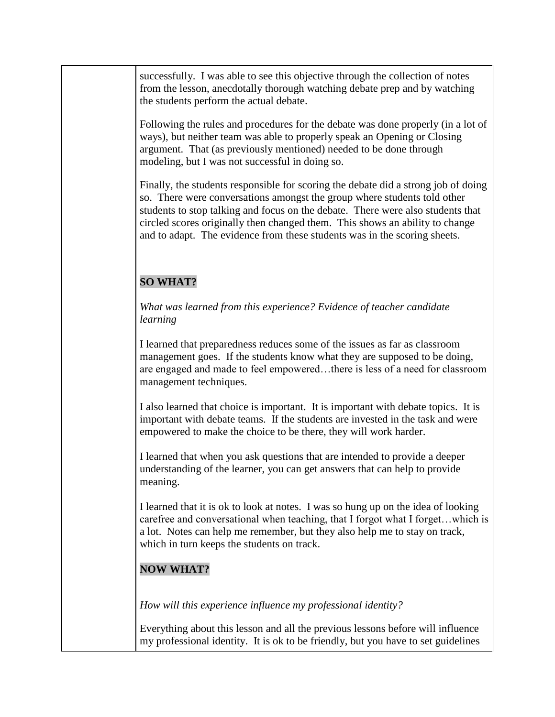successfully. I was able to see this objective through the collection of notes from the lesson, anecdotally thorough watching debate prep and by watching the students perform the actual debate.

Following the rules and procedures for the debate was done properly (in a lot of ways), but neither team was able to properly speak an Opening or Closing argument. That (as previously mentioned) needed to be done through modeling, but I was not successful in doing so.

Finally, the students responsible for scoring the debate did a strong job of doing so. There were conversations amongst the group where students told other students to stop talking and focus on the debate. There were also students that circled scores originally then changed them. This shows an ability to change and to adapt. The evidence from these students was in the scoring sheets.

## **SO WHAT?**

*What was learned from this experience? Evidence of teacher candidate learning*

I learned that preparedness reduces some of the issues as far as classroom management goes. If the students know what they are supposed to be doing, are engaged and made to feel empowered…there is less of a need for classroom management techniques.

I also learned that choice is important. It is important with debate topics. It is important with debate teams. If the students are invested in the task and were empowered to make the choice to be there, they will work harder.

I learned that when you ask questions that are intended to provide a deeper understanding of the learner, you can get answers that can help to provide meaning.

I learned that it is ok to look at notes. I was so hung up on the idea of looking carefree and conversational when teaching, that I forgot what I forget…which is a lot. Notes can help me remember, but they also help me to stay on track, which in turn keeps the students on track.

## **NOW WHAT?**

*How will this experience influence my professional identity?* 

Everything about this lesson and all the previous lessons before will influence my professional identity. It is ok to be friendly, but you have to set guidelines